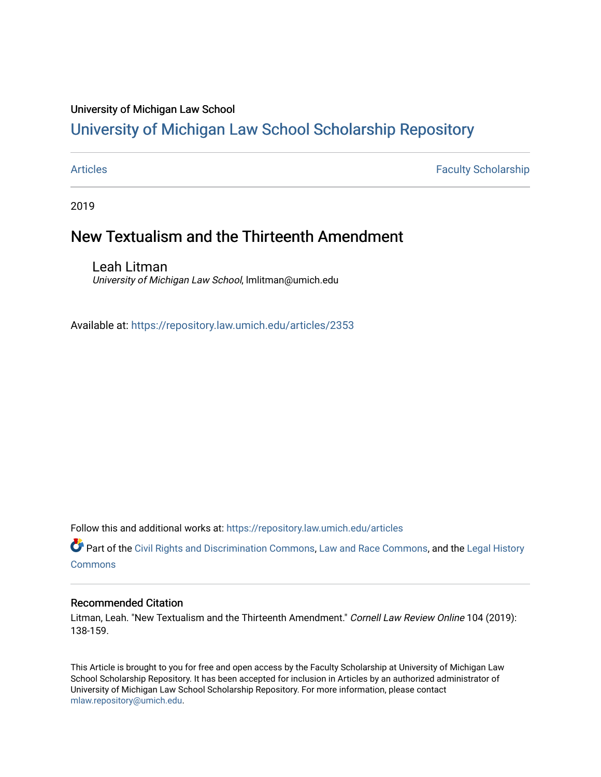## University of Michigan Law School

# [University of Michigan Law School Scholarship Repository](https://repository.law.umich.edu/)

[Articles](https://repository.law.umich.edu/articles) **Faculty Scholarship** Faculty Scholarship

2019

# New Textualism and the Thirteenth Amendment

Leah Litman University of Michigan Law School, lmlitman@umich.edu

Available at: <https://repository.law.umich.edu/articles/2353>

Follow this and additional works at: [https://repository.law.umich.edu/articles](https://repository.law.umich.edu/articles?utm_source=repository.law.umich.edu%2Farticles%2F2353&utm_medium=PDF&utm_campaign=PDFCoverPages) 

Part of the [Civil Rights and Discrimination Commons,](http://network.bepress.com/hgg/discipline/585?utm_source=repository.law.umich.edu%2Farticles%2F2353&utm_medium=PDF&utm_campaign=PDFCoverPages) [Law and Race Commons,](http://network.bepress.com/hgg/discipline/1300?utm_source=repository.law.umich.edu%2Farticles%2F2353&utm_medium=PDF&utm_campaign=PDFCoverPages) and the [Legal History](http://network.bepress.com/hgg/discipline/904?utm_source=repository.law.umich.edu%2Farticles%2F2353&utm_medium=PDF&utm_campaign=PDFCoverPages) [Commons](http://network.bepress.com/hgg/discipline/904?utm_source=repository.law.umich.edu%2Farticles%2F2353&utm_medium=PDF&utm_campaign=PDFCoverPages)

#### Recommended Citation

Litman, Leah. "New Textualism and the Thirteenth Amendment." Cornell Law Review Online 104 (2019): 138-159.

This Article is brought to you for free and open access by the Faculty Scholarship at University of Michigan Law School Scholarship Repository. It has been accepted for inclusion in Articles by an authorized administrator of University of Michigan Law School Scholarship Repository. For more information, please contact [mlaw.repository@umich.edu.](mailto:mlaw.repository@umich.edu)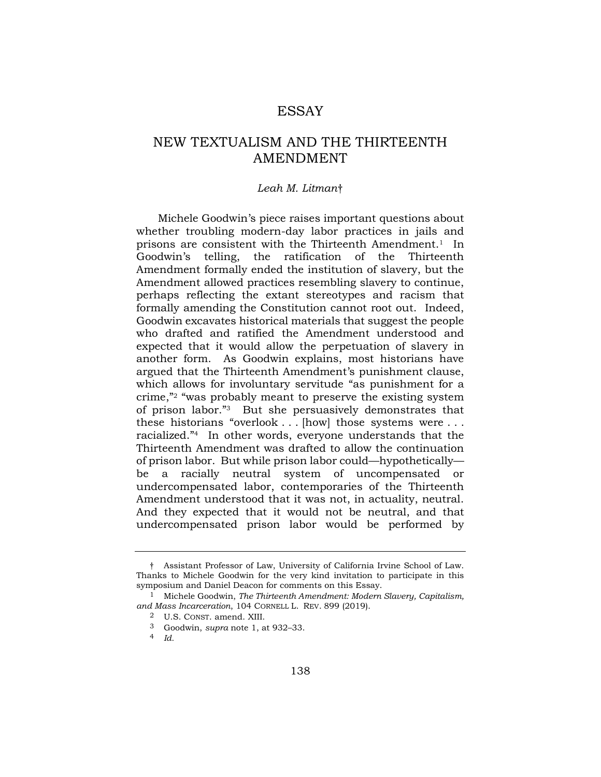## ESSAY

# NEW TEXTUALISM AND THE THIRTEENTH AMENDMENT

#### *Leah M. Litman*†

Michele Goodwin's piece raises important questions about whether troubling modern-day labor practices in jails and prisons are consistent with the Thirteenth Amendment.<sup>1</sup> In Goodwin's telling, the ratification of the Thirteenth Amendment formally ended the institution of slavery, but the Amendment allowed practices resembling slavery to continue, perhaps reflecting the extant stereotypes and racism that formally amending the Constitution cannot root out. Indeed, Goodwin excavates historical materials that suggest the people who drafted and ratified the Amendment understood and expected that it would allow the perpetuation of slavery in another form. As Goodwin explains, most historians have argued that the Thirteenth Amendment's punishment clause, which allows for involuntary servitude "as punishment for a crime,"2 "was probably meant to preserve the existing system of prison labor."3 But she persuasively demonstrates that these historians "overlook . . . [how] those systems were . . . racialized."4 In other words, everyone understands that the Thirteenth Amendment was drafted to allow the continuation of prison labor. But while prison labor could—hypothetically be a racially neutral system of uncompensated or undercompensated labor, contemporaries of the Thirteenth Amendment understood that it was not, in actuality, neutral. And they expected that it would not be neutral, and that undercompensated prison labor would be performed by

<sup>†</sup> Assistant Professor of Law, University of California Irvine School of Law. Thanks to Michele Goodwin for the very kind invitation to participate in this symposium and Daniel Deacon for comments on this Essay.

<sup>&</sup>lt;sup>1</sup> Michele Goodwin, *The Thirteenth Amendment: Modern Slavery, Capitalism, and Mass Incarceration*, 104 CORNELL L. REV. 899 (2019).

<sup>2</sup> U.S. CONST. amend. XIII.

<sup>3</sup> Goodwin, *supra* note 1, at 932–33.

<sup>4</sup> *Id.*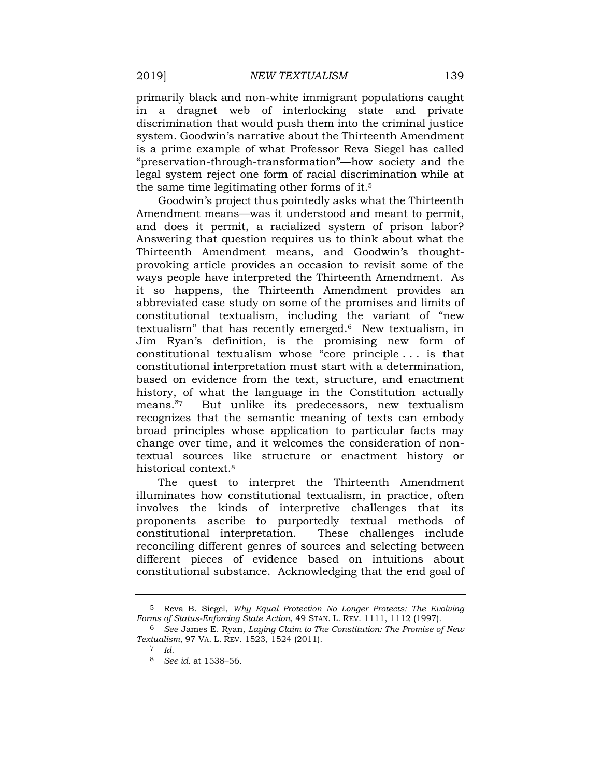primarily black and non-white immigrant populations caught in a dragnet web of interlocking state and private discrimination that would push them into the criminal justice system. Goodwin's narrative about the Thirteenth Amendment is a prime example of what Professor Reva Siegel has called "preservation-through-transformation"—how society and the legal system reject one form of racial discrimination while at the same time legitimating other forms of it.5

Goodwin's project thus pointedly asks what the Thirteenth Amendment means—was it understood and meant to permit, and does it permit, a racialized system of prison labor? Answering that question requires us to think about what the Thirteenth Amendment means, and Goodwin's thoughtprovoking article provides an occasion to revisit some of the ways people have interpreted the Thirteenth Amendment. As it so happens, the Thirteenth Amendment provides an abbreviated case study on some of the promises and limits of constitutional textualism, including the variant of "new textualism" that has recently emerged.6 New textualism, in Jim Ryan's definition, is the promising new form of constitutional textualism whose "core principle . . . is that constitutional interpretation must start with a determination, based on evidence from the text, structure, and enactment history, of what the language in the Constitution actually means."7 But unlike its predecessors, new textualism recognizes that the semantic meaning of texts can embody broad principles whose application to particular facts may change over time, and it welcomes the consideration of nontextual sources like structure or enactment history or historical context.8

The quest to interpret the Thirteenth Amendment illuminates how constitutional textualism, in practice, often involves the kinds of interpretive challenges that its proponents ascribe to purportedly textual methods of constitutional interpretation. These challenges include reconciling different genres of sources and selecting between different pieces of evidence based on intuitions about constitutional substance. Acknowledging that the end goal of

<sup>5</sup> Reva B. Siegel, *Why Equal Protection No Longer Protects: The Evolving Forms of Status-Enforcing State Action*, 49 STAN. L. REV. 1111, 1112 (1997).

<sup>6</sup> *See* James E. Ryan, *Laying Claim to The Constitution: The Promise of New Textualism*, 97 VA. L. REV. 1523, 1524 (2011).

<sup>7</sup> *Id.* 

<sup>8</sup> *See id.* at 1538–56.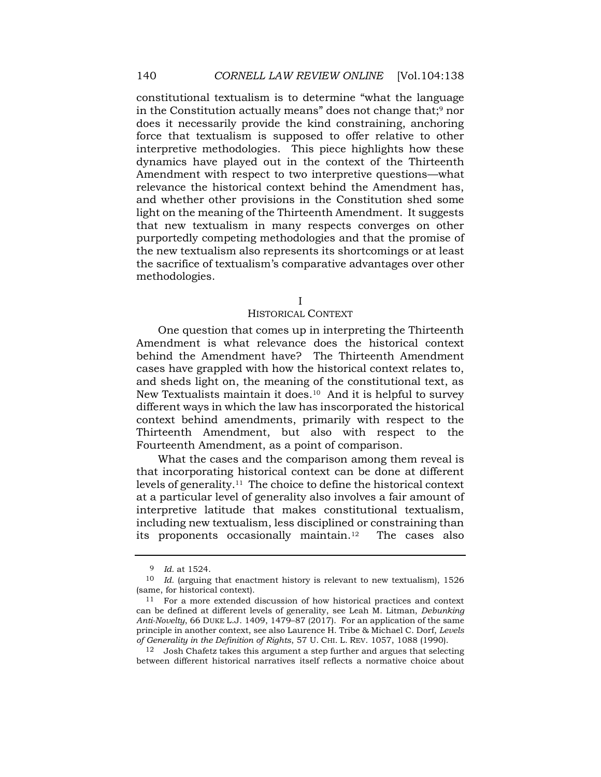constitutional textualism is to determine "what the language in the Constitution actually means" does not change that;<sup>9</sup> nor does it necessarily provide the kind constraining, anchoring force that textualism is supposed to offer relative to other interpretive methodologies. This piece highlights how these dynamics have played out in the context of the Thirteenth Amendment with respect to two interpretive questions—what relevance the historical context behind the Amendment has, and whether other provisions in the Constitution shed some light on the meaning of the Thirteenth Amendment. It suggests that new textualism in many respects converges on other purportedly competing methodologies and that the promise of the new textualism also represents its shortcomings or at least the sacrifice of textualism's comparative advantages over other methodologies.

I

#### HISTORICAL CONTEXT

One question that comes up in interpreting the Thirteenth Amendment is what relevance does the historical context behind the Amendment have? The Thirteenth Amendment cases have grappled with how the historical context relates to, and sheds light on, the meaning of the constitutional text, as New Textualists maintain it does.<sup>10</sup> And it is helpful to survey different ways in which the law has inscorporated the historical context behind amendments, primarily with respect to the Thirteenth Amendment, but also with respect to the Fourteenth Amendment, as a point of comparison.

What the cases and the comparison among them reveal is that incorporating historical context can be done at different levels of [generality.11](https://generality.11) The choice to define the historical context at a particular level of generality also involves a fair amount of interpretive latitude that makes constitutional textualism, including new textualism, less disciplined or constraining than its proponents occasionally maintain.<sup>12</sup> The cases also

<sup>9</sup> *Id.* at 1524.

<sup>10</sup> *Id.* (arguing that enactment history is relevant to new textualism), 1526 (same, for historical context).

<sup>11</sup> For a more extended discussion of how historical practices and context can be defined at different levels of generality, see Leah M. Litman, *Debunking Anti-Novelty*, 66 DUKE L.J. 1409, 1479–87 (2017). For an application of the same principle in another context, see also Laurence H. Tribe & Michael C. Dorf, *Levels of Generality in the Definition of Rights*, 57 U. CHI. L. REV. 1057, 1088 (1990).

 $^{12}\;$  Josh Chafetz takes this argument a step further and argues that selecting between different historical narratives itself reflects a normative choice about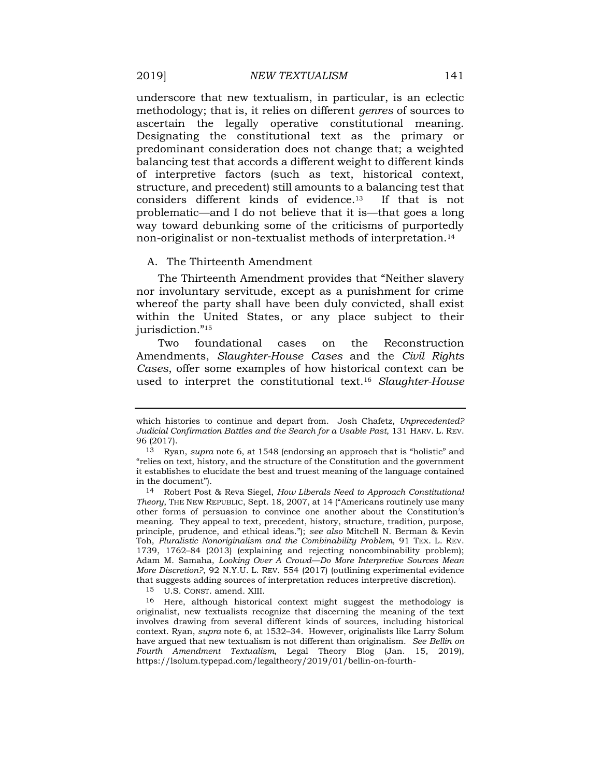underscore that new textualism, in particular, is an eclectic methodology; that is, it relies on different *genres* of sources to ascertain the legally operative constitutional meaning. Designating the constitutional text as the primary or predominant consideration does not change that; a weighted balancing test that accords a different weight to different kinds of interpretive factors (such as text, historical context, structure, and precedent) still amounts to a balancing test that considers different kinds of [evidence.13](https://evidence.13) If that is not problematic—and I do not believe that it is—that goes a long way toward debunking some of the criticisms of purportedly non-originalist or non-textualist methods of [interpretation.14](https://interpretation.14) 

#### A. The Thirteenth Amendment

The Thirteenth Amendment provides that "Neither slavery nor involuntary servitude, except as a punishment for crime whereof the party shall have been duly convicted, shall exist within the United States, or any place subject to their jurisdiction."<sup>15</sup>

Two foundational cases on the Reconstruction Amendments, *Slaughter-House Cases* and the *Civil Rights Cases*, offer some examples of how historical context can be used to interpret the constitutional text.16 *Slaughter-House* 

which histories to continue and depart from. Josh Chafetz, *Unprecedented? Judicial Confirmation Battles and the Search for a Usable Past*, 131 HARV. L. REV. 96 (2017).

<sup>13</sup> Ryan, *supra* note 6, at 1548 (endorsing an approach that is "holistic" and "relies on text, history, and the structure of the Constitution and the government it establishes to elucidate the best and truest meaning of the language contained in the document").

<sup>14</sup> Robert Post & Reva Siegel, *How Liberals Need to Approach Constitutional Theory*, THE NEW REPUBLIC, Sept. 18, 2007, at 14 ("Americans routinely use many other forms of persuasion to convince one another about the Constitution's meaning. They appeal to text, precedent, history, structure, tradition, purpose, principle, prudence, and ethical ideas."); *see also* Mitchell N. Berman & Kevin Toh, *Pluralistic Nonoriginalism and the Combinability Problem*, 91 TEX. L. REV. 1739, 1762–84 (2013) (explaining and rejecting noncombinability problem); Adam M. Samaha, *Looking Over A Crowd—Do More Interpretive Sources Mean More Discretion?*, 92 N.Y.U. L. REV. 554 (2017) (outlining experimental evidence that suggests adding sources of interpretation reduces interpretive discretion).

<sup>15</sup> U.S. CONST. amend. XIII.

<sup>16</sup> Here, although historical context might suggest the methodology is originalist, new textualists recognize that discerning the meaning of the text involves drawing from several different kinds of sources, including historical context. Ryan, *supra* note 6, at 1532–34. However, originalists like Larry Solum have argued that new textualism is not different than originalism. *See Bellin on Fourth Amendment Textualism*, Legal Theory Blog (Jan. 15, 2019), [https://lsolum.typepad.com/legaltheory/2019/01/bellin-on-fourth-](https://lsolum.typepad.com/legaltheory/2019/01/bellin-on-fourth-amendment-textualism.html)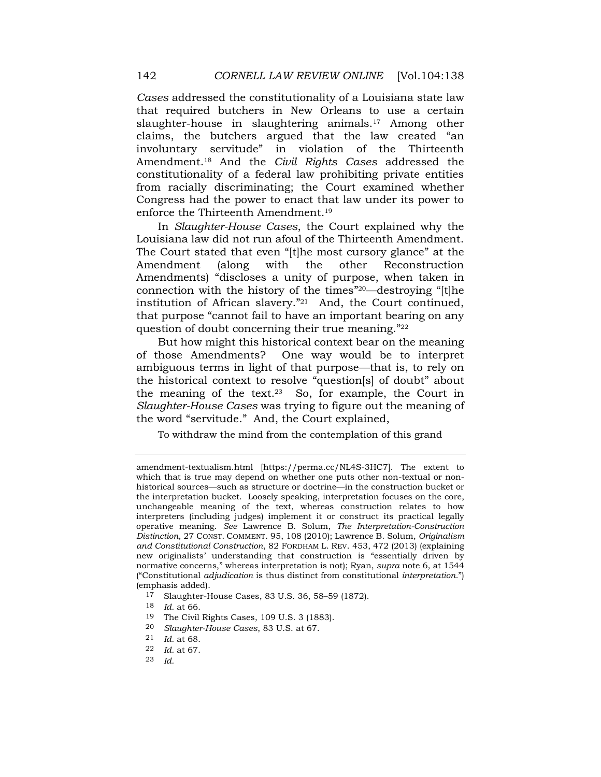*Cases* addressed the constitutionality of a Louisiana state law that required butchers in New Orleans to use a certain slaughter-house in slaughtering animals.<sup>17</sup> Among other claims, the butchers argued that the law created "an involuntary servitude" in violation of the Thirteenth [Amendment.18](https://Amendment.18) And the *Civil Rights Cases* addressed the constitutionality of a federal law prohibiting private entities from racially discriminating; the Court examined whether Congress had the power to enact that law under its power to enforce the Thirteenth [Amendment.19](https://Amendment.19) 

In *Slaughter-House Cases*, the Court explained why the Louisiana law did not run afoul of the Thirteenth Amendment. The Court stated that even "[t]he most cursory glance" at the Amendment (along with the other Reconstruction Amendments) "discloses a unity of purpose, when taken in connection with the history of the times"20—destroying "[t]he institution of African slavery."21 And, the Court continued, that purpose "cannot fail to have an important bearing on any question of doubt concerning their true meaning."<sup>22</sup>

But how might this historical context bear on the meaning of those Amendments? One way would be to interpret ambiguous terms in light of that purpose—that is, to rely on the historical context to resolve "question[s] of doubt" about the meaning of the text.23 So, for example, the Court in *Slaughter-House Cases* was trying to figure out the meaning of the word "servitude." And, the Court explained,

To withdraw the mind from the contemplation of this grand

17 Slaughter-House Cases, 83 U.S. 36, 58–59 (1872).

- 19 The Civil Rights Cases, 109 U.S. 3 (1883).
- 20 *Slaughter-House Cases*, 83 U.S. at 67.
- 21 *Id.* at 68.
- 22 *Id.* at 67.
- 23 *Id.*

[amendment-textualism.html](https://lsolum.typepad.com/legaltheory/2019/01/bellin-on-fourth-amendment-textualism.html) [\[https://perma.cc/NL4S-3HC7](https://perma.cc/NL4S-3HC7)]. The extent to which that is true may depend on whether one puts other non-textual or nonhistorical sources—such as structure or doctrine—in the construction bucket or the interpretation bucket. Loosely speaking, interpretation focuses on the core, unchangeable meaning of the text, whereas construction relates to how interpreters (including judges) implement it or construct its practical legally operative meaning. *See* Lawrence B. Solum, *The Interpretation-Construction Distinction*, 27 CONST. COMMENT. 95, 108 (2010); Lawrence B. Solum, *Originalism and Constitutional Construction*, 82 FORDHAM L. REV. 453, 472 (2013) (explaining new originalists' understanding that construction is "essentially driven by normative concerns," whereas interpretation is not); Ryan, *supra* note 6, at 1544 ("Constitutional *adjudication* is thus distinct from constitutional *interpretation*.") (emphasis added).

<sup>18</sup> *Id.* at 66.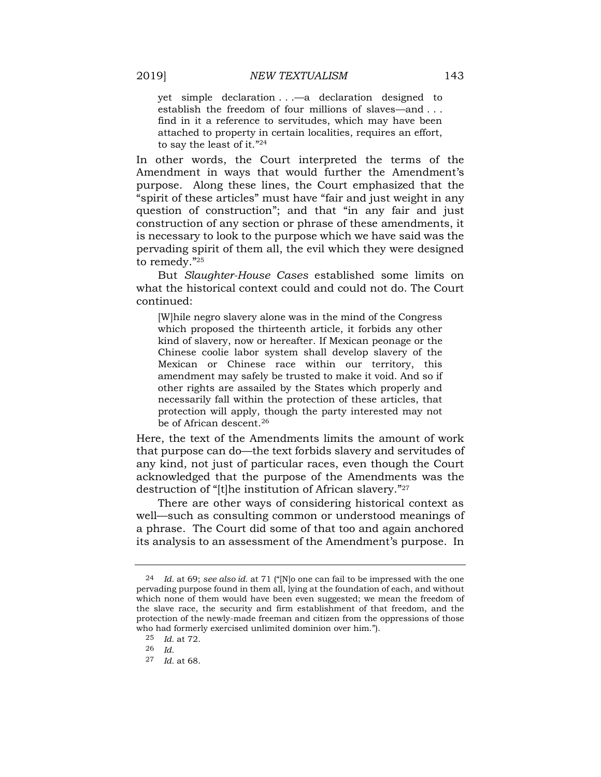yet simple declaration . . .—a declaration designed to establish the freedom of four millions of slaves—and . . . find in it a reference to servitudes, which may have been attached to property in certain localities, requires an effort, to say the least of it."<sup>24</sup>

In other words, the Court interpreted the terms of the Amendment in ways that would further the Amendment's purpose. Along these lines, the Court emphasized that the "spirit of these articles" must have "fair and just weight in any question of construction"; and that "in any fair and just construction of any section or phrase of these amendments, it is necessary to look to the purpose which we have said was the pervading spirit of them all, the evil which they were designed to remedy."<sup>25</sup>

But *Slaughter-House Cases* established some limits on what the historical context could and could not do. The Court continued:

[W]hile negro slavery alone was in the mind of the Congress which proposed the thirteenth article, it forbids any other kind of slavery, now or hereafter. If Mexican peonage or the Chinese coolie labor system shall develop slavery of the Mexican or Chinese race within our territory, this amendment may safely be trusted to make it void. And so if other rights are assailed by the States which properly and necessarily fall within the protection of these articles, that protection will apply, though the party interested may not be of African [descent.26](https://descent.26)

Here, the text of the Amendments limits the amount of work that purpose can do—the text forbids slavery and servitudes of any kind, not just of particular races, even though the Court acknowledged that the purpose of the Amendments was the destruction of "[t]he institution of African slavery."<sup>27</sup>

There are other ways of considering historical context as well—such as consulting common or understood meanings of a phrase. The Court did some of that too and again anchored its analysis to an assessment of the Amendment's purpose. In

<sup>24</sup> *Id.* at 69; *see also id.* at 71 ("[N]o one can fail to be impressed with the one pervading purpose found in them all, lying at the foundation of each, and without which none of them would have been even suggested; we mean the freedom of the slave race, the security and firm establishment of that freedom, and the protection of the newly-made freeman and citizen from the oppressions of those who had formerly exercised unlimited dominion over him.").

<sup>25</sup> *Id.* at 72.

<sup>26</sup> *Id.* 

<sup>27</sup> *Id.* at 68.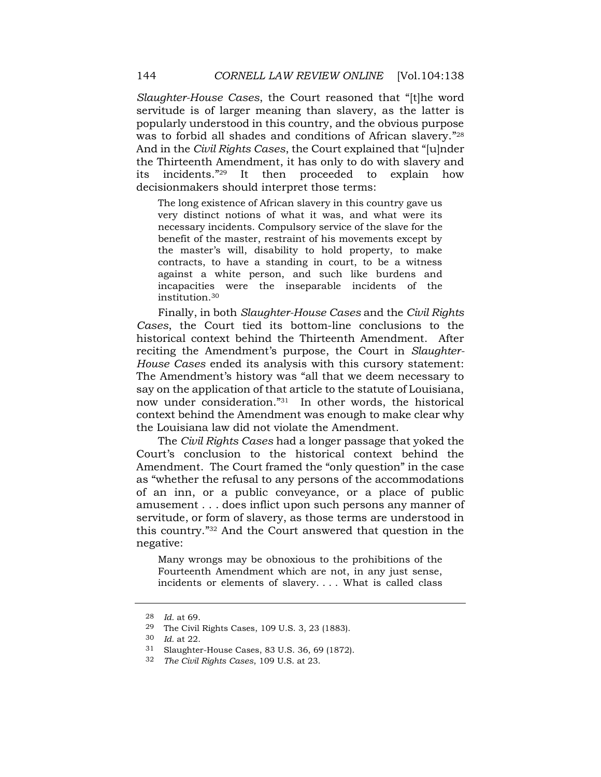*Slaughter-House Cases*, the Court reasoned that "[t]he word servitude is of larger meaning than slavery, as the latter is popularly understood in this country, and the obvious purpose was to forbid all shades and conditions of African slavery."<sup>28</sup> And in the *Civil Rights Cases*, the Court explained that "[u]nder the Thirteenth Amendment, it has only to do with slavery and its incidents."29 It then proceeded to explain how decisionmakers should interpret those terms:

The long existence of African slavery in this country gave us very distinct notions of what it was, and what were its necessary incidents. Compulsory service of the slave for the benefit of the master, restraint of his movements except by the master's will, disability to hold property, to make contracts, to have a standing in court, to be a witness against a white person, and such like burdens and incapacities were the inseparable incidents of the [institution.30](https://institution.30)

Finally, in both *Slaughter-House Cases* and the *Civil Rights Cases*, the Court tied its bottom-line conclusions to the historical context behind the Thirteenth Amendment. After reciting the Amendment's purpose, the Court in *Slaughter-House Cases* ended its analysis with this cursory statement: The Amendment's history was "all that we deem necessary to say on the application of that article to the statute of Louisiana, now under consideration."31 In other words, the historical context behind the Amendment was enough to make clear why the Louisiana law did not violate the Amendment.

The *Civil Rights Cases* had a longer passage that yoked the Court's conclusion to the historical context behind the Amendment. The Court framed the "only question" in the case as "whether the refusal to any persons of the accommodations of an inn, or a public conveyance, or a place of public amusement . . . does inflict upon such persons any manner of servitude, or form of slavery, as those terms are understood in this country."32 And the Court answered that question in the negative:

Many wrongs may be obnoxious to the prohibitions of the Fourteenth Amendment which are not, in any just sense, incidents or elements of slavery. . . . What is called class

<sup>28</sup> *Id.* at 69.

<sup>29</sup> The Civil Rights Cases, 109 U.S. 3, 23 (1883).

<sup>30</sup> *Id.* at 22.

<sup>31</sup> Slaughter-House Cases, 83 U.S. 36, 69 (1872).

<sup>32</sup> *The Civil Rights Cases*, 109 U.S. at 23.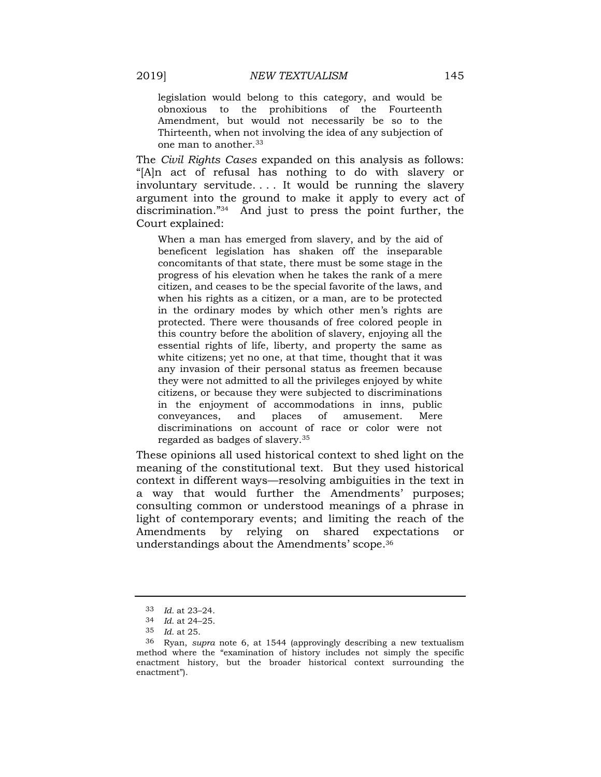legislation would belong to this category, and would be obnoxious to the prohibitions of the Fourteenth Amendment, but would not necessarily be so to the Thirteenth, when not involving the idea of any subjection of one man to another.<sup>33</sup>

The *Civil Rights Cases* expanded on this analysis as follows: "[A]n act of refusal has nothing to do with slavery or involuntary servitude. . . . It would be running the slavery argument into the ground to make it apply to every act of discrimination."34 And just to press the point further, the Court explained:

When a man has emerged from slavery, and by the aid of beneficent legislation has shaken off the inseparable concomitants of that state, there must be some stage in the progress of his elevation when he takes the rank of a mere citizen, and ceases to be the special favorite of the laws, and when his rights as a citizen, or a man, are to be protected in the ordinary modes by which other men's rights are protected. There were thousands of free colored people in this country before the abolition of slavery, enjoying all the essential rights of life, liberty, and property the same as white citizens; yet no one, at that time, thought that it was any invasion of their personal status as freemen because they were not admitted to all the privileges enjoyed by white citizens, or because they were subjected to discriminations in the enjoyment of accommodations in inns, public conveyances, and places of amusement. Mere discriminations on account of race or color were not regarded as badges of [slavery.35](https://slavery.35) 

These opinions all used historical context to shed light on the meaning of the constitutional text. But they used historical context in different ways—resolving ambiguities in the text in a way that would further the Amendments' purposes; consulting common or understood meanings of a phrase in light of contemporary events; and limiting the reach of the Amendments by relying on shared expectations or understandings about the Amendments' [scope.36](https://scope.36) 

<sup>33</sup> *Id.* at 23–24.

<sup>34</sup> *Id.* at 24–25.

<sup>35</sup> *Id.* at 25.

<sup>36</sup> Ryan, *supra* note 6, at 1544 (approvingly describing a new textualism method where the "examination of history includes not simply the specific enactment history, but the broader historical context surrounding the enactment").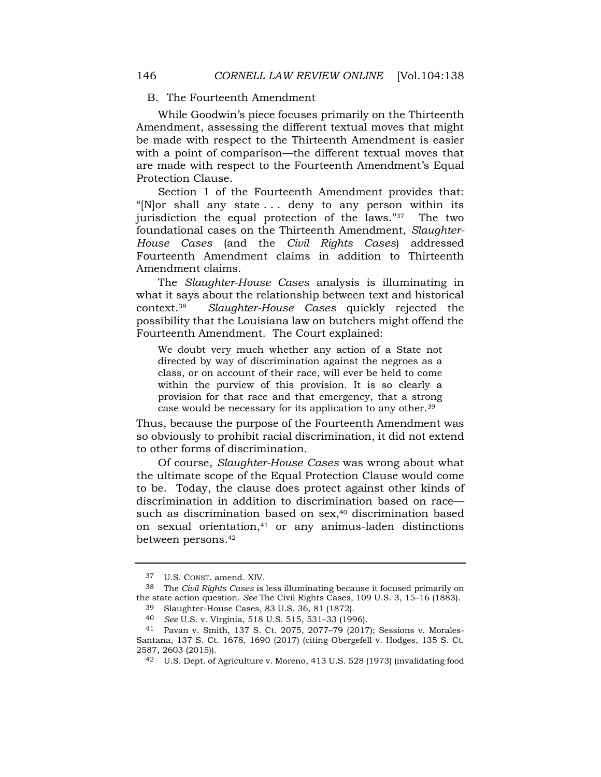### B. The Fourteenth Amendment

While Goodwin's piece focuses primarily on the Thirteenth Amendment, assessing the different textual moves that might be made with respect to the Thirteenth Amendment is easier with a point of comparison—the different textual moves that are made with respect to the Fourteenth Amendment's Equal Protection Clause.

Section 1 of the Fourteenth Amendment provides that: "[N]or shall any state . . . deny to any person within its jurisdiction the equal protection of the laws."37 The two foundational cases on the Thirteenth Amendment, *Slaughter-House Cases* (and the *Civil Rights Cases*) addressed Fourteenth Amendment claims in addition to Thirteenth Amendment claims.

The *Slaughter-House Cases* analysis is illuminating in what it says about the relationship between text and historical [context.38](https://context.38) *Slaughter-House Cases* quickly rejected the possibility that the Louisiana law on butchers might offend the Fourteenth Amendment. The Court explained:

We doubt very much whether any action of a State not directed by way of discrimination against the negroes as a class, or on account of their race, will ever be held to come within the purview of this provision. It is so clearly a provision for that race and that emergency, that a strong case would be necessary for its application to any [other.39](https://other.39) 

Thus, because the purpose of the Fourteenth Amendment was so obviously to prohibit racial discrimination, it did not extend to other forms of discrimination.

Of course, *Slaughter-House Cases* was wrong about what the ultimate scope of the Equal Protection Clause would come to be. Today, the clause does protect against other kinds of discrimination in addition to discrimination based on race such as discrimination based on sex,<sup>40</sup> discrimination based on sexual orientation,41 or any animus-laden distinctions between [persons.42](https://persons.42)

<sup>37</sup> U.S. CONST. amend. XIV.

<sup>38</sup> The *Civil Rights Cases* is less illuminating because it focused primarily on the state action question. *See* The Civil Rights Cases, 109 U.S. 3, 15–16 (1883). 39 Slaughter-House Cases, 83 U.S. 36, 81 (1872).

<sup>40</sup> *See* U.S. v. Virginia, 518 U.S. 515, 531–33 (1996).

<sup>41</sup> Pavan v. Smith, 137 S. Ct. 2075, 2077–79 (2017); Sessions v. Morales-Santana, 137 S. Ct. 1678, 1690 (2017) (citing Obergefell v. Hodges, 135 S. Ct. 2587, 2603 (2015)).

<sup>42</sup> U.S. Dept. of Agriculture v. Moreno, 413 U.S. 528 (1973) (invalidating food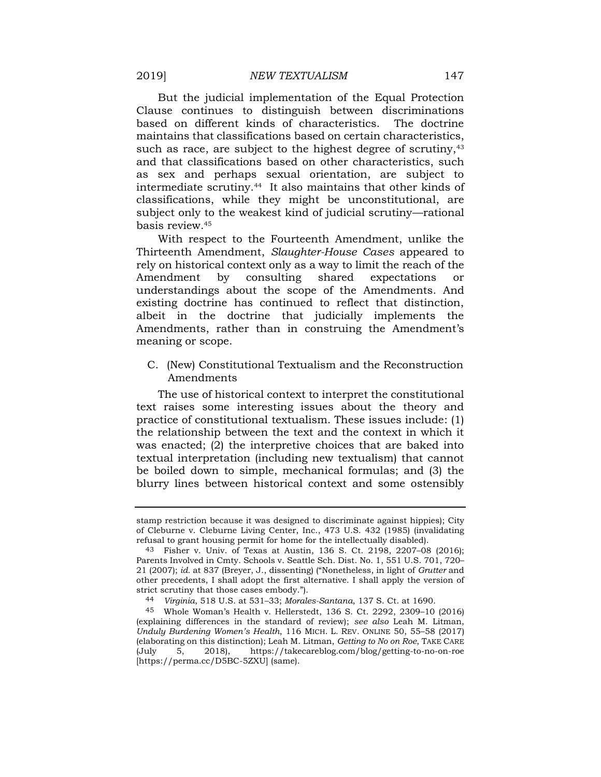But the judicial implementation of the Equal Protection Clause continues to distinguish between discriminations based on different kinds of characteristics. The doctrine maintains that classifications based on certain characteristics, such as race, are subject to the highest degree of scrutiny,<sup>43</sup> and that classifications based on other characteristics, such as sex and perhaps sexual orientation, are subject to intermediate [scrutiny.44](https://scrutiny.44) It also maintains that other kinds of classifications, while they might be unconstitutional, are subject only to the weakest kind of judicial scrutiny—rational basis [review.45](https://review.45) 

With respect to the Fourteenth Amendment, unlike the Thirteenth Amendment, *Slaughter-House Cases* appeared to rely on historical context only as a way to limit the reach of the Amendment by consulting shared expectations or understandings about the scope of the Amendments. And existing doctrine has continued to reflect that distinction, albeit in the doctrine that judicially implements the Amendments, rather than in construing the Amendment's meaning or scope.

C. (New) Constitutional Textualism and the Reconstruction Amendments

The use of historical context to interpret the constitutional text raises some interesting issues about the theory and practice of constitutional textualism. These issues include: (1) the relationship between the text and the context in which it was enacted; (2) the interpretive choices that are baked into textual interpretation (including new textualism) that cannot be boiled down to simple, mechanical formulas; and (3) the blurry lines between historical context and some ostensibly

stamp restriction because it was designed to discriminate against hippies); City of Cleburne v. Cleburne Living Center, Inc., 473 U.S. 432 (1985) (invalidating refusal to grant housing permit for home for the intellectually disabled).

<sup>43</sup> Fisher v. Univ. of Texas at Austin, 136 S. Ct. 2198, 2207–08 (2016); Parents Involved in Cmty. Schools v. Seattle Sch. Dist. No. 1, 551 U.S. 701, 720– 21 (2007); *id.* at 837 (Breyer, J., dissenting) ("Nonetheless, in light of *Grutter* and other precedents, I shall adopt the first alternative. I shall apply the version of strict scrutiny that those cases embody.").

<sup>44</sup> *Virginia*, 518 U.S. at 531–33; *Morales-Santana*, 137 S. Ct. at 1690.

<sup>45</sup> Whole Woman's Health v. Hellerstedt, 136 S. Ct. 2292, 2309–10 (2016) (explaining differences in the standard of review); *see also* Leah M. Litman, *Unduly Burdening Women's Health*, 116 MICH. L. REV. ONLINE 50, 55–58 (2017) (elaborating on this distinction); Leah M. Litman, *Getting to No on Roe*, TAKE CARE (July 5, 2018), <https://takecareblog.com/blog/getting-to-no-on-roe> [\[https://perma.cc/D5BC-5ZXU\]](https://perma.cc/D5BC-5ZXU) (same).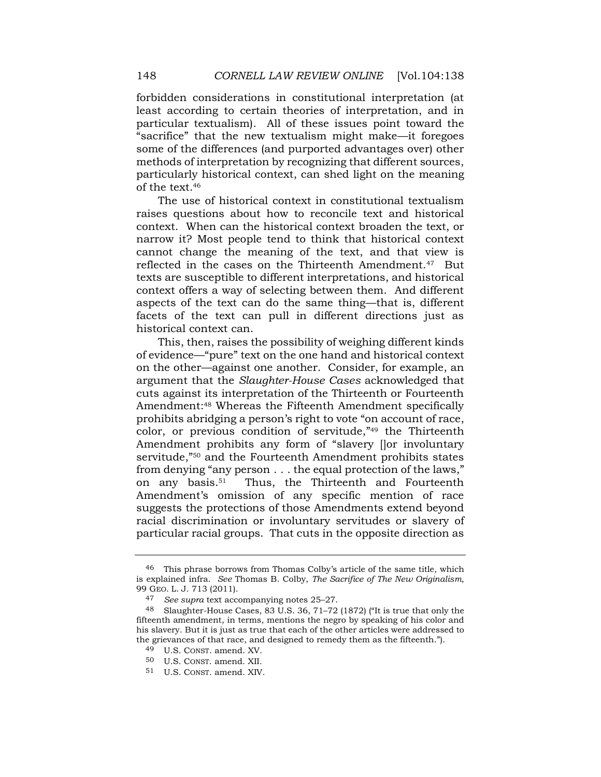forbidden considerations in constitutional interpretation (at least according to certain theories of interpretation, and in particular textualism). All of these issues point toward the "sacrifice" that the new textualism might make—it foregoes some of the differences (and purported advantages over) other methods of interpretation by recognizing that different sources, particularly historical context, can shed light on the meaning of the text.46

The use of historical context in constitutional textualism raises questions about how to reconcile text and historical context. When can the historical context broaden the text, or narrow it? Most people tend to think that historical context cannot change the meaning of the text, and that view is reflected in the cases on the Thirteenth Amendment.<sup>47</sup> But texts are susceptible to different interpretations, and historical context offers a way of selecting between them. And different aspects of the text can do the same thing—that is, different facets of the text can pull in different directions just as historical context can.

This, then, raises the possibility of weighing different kinds of evidence—"pure" text on the one hand and historical context on the other—against one another. Consider, for example, an argument that the *Slaughter-House Cases* acknowledged that cuts against its interpretation of the Thirteenth or Fourteenth Amendment:48 Whereas the Fifteenth Amendment specifically prohibits abridging a person's right to vote "on account of race, color, or previous condition of servitude,"49 the Thirteenth Amendment prohibits any form of "slavery []or involuntary servitude,"50 and the Fourteenth Amendment prohibits states from denying "any person . . . the equal protection of the laws," on any [basis.51](https://basis.51) Thus, the Thirteenth and Fourteenth Amendment's omission of any specific mention of race suggests the protections of those Amendments extend beyond racial discrimination or involuntary servitudes or slavery of particular racial groups. That cuts in the opposite direction as

<sup>46</sup> This phrase borrows from Thomas Colby's article of the same title, which is explained infra. *See* Thomas B. Colby, *The Sacrifice of The New Originalism*, 99 GEO. L. J. 713 (2011).

<sup>47</sup> *See supra* text accompanying notes 25–27.

<sup>48</sup> Slaughter-House Cases, 83 U.S. 36, 71–72 (1872) ("It is true that only the fifteenth amendment, in terms, mentions the negro by speaking of his color and his slavery. But it is just as true that each of the other articles were addressed to the grievances of that race, and designed to remedy them as the fifteenth.").

<sup>49</sup> U.S. CONST. amend. XV.

<sup>50</sup> U.S. CONST. amend. XII.

<sup>51</sup> U.S. CONST. amend. XIV.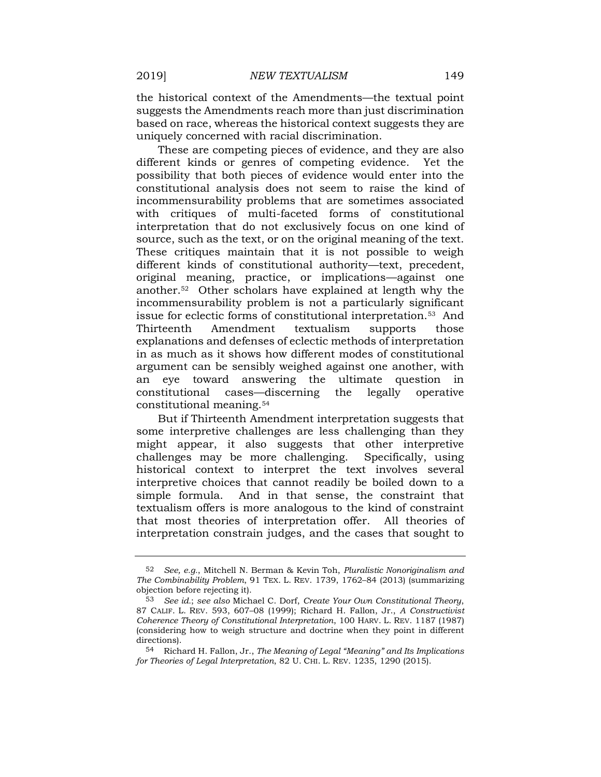the historical context of the Amendments—the textual point suggests the Amendments reach more than just discrimination based on race, whereas the historical context suggests they are uniquely concerned with racial discrimination.

These are competing pieces of evidence, and they are also different kinds or genres of competing evidence. Yet the possibility that both pieces of evidence would enter into the constitutional analysis does not seem to raise the kind of incommensurability problems that are sometimes associated with critiques of multi-faceted forms of constitutional interpretation that do not exclusively focus on one kind of source, such as the text, or on the original meaning of the text. These critiques maintain that it is not possible to weigh different kinds of constitutional authority—text, precedent, original meaning, practice, or implications—against one [another.52](https://another.52) Other scholars have explained at length why the incommensurability problem is not a particularly significant issue for eclectic forms of constitutional [interpretation.53](https://interpretation.53) And Thirteenth Amendment textualism supports those explanations and defenses of eclectic methods of interpretation in as much as it shows how different modes of constitutional argument can be sensibly weighed against one another, with an eye toward answering the ultimate question in constitutional cases—discerning the legally operative constitutional [meaning.54](https://meaning.54) 

But if Thirteenth Amendment interpretation suggests that some interpretive challenges are less challenging than they might appear, it also suggests that other interpretive challenges may be more challenging. Specifically, using historical context to interpret the text involves several interpretive choices that cannot readily be boiled down to a simple formula. And in that sense, the constraint that textualism offers is more analogous to the kind of constraint that most theories of interpretation offer. All theories of interpretation constrain judges, and the cases that sought to

<sup>52</sup> *See, e.g.*, Mitchell N. Berman & Kevin Toh, *Pluralistic Nonoriginalism and The Combinability Problem*, 91 TEX. L. REV. 1739, 1762–84 (2013) (summarizing objection before rejecting it).

<sup>53</sup> *See id.*; *see also* Michael C. Dorf, *Create Your Own Constitutional Theory*, 87 CALIF. L. REV. 593, 607–08 (1999); Richard H. Fallon, Jr., *A Constructivist Coherence Theory of Constitutional Interpretation*, 100 HARV. L. REV. 1187 (1987) (considering how to weigh structure and doctrine when they point in different directions).

<sup>54</sup> Richard H. Fallon, Jr., *The Meaning of Legal "Meaning" and Its Implications for Theories of Legal Interpretation*, 82 U. CHI. L. REV. 1235, 1290 (2015).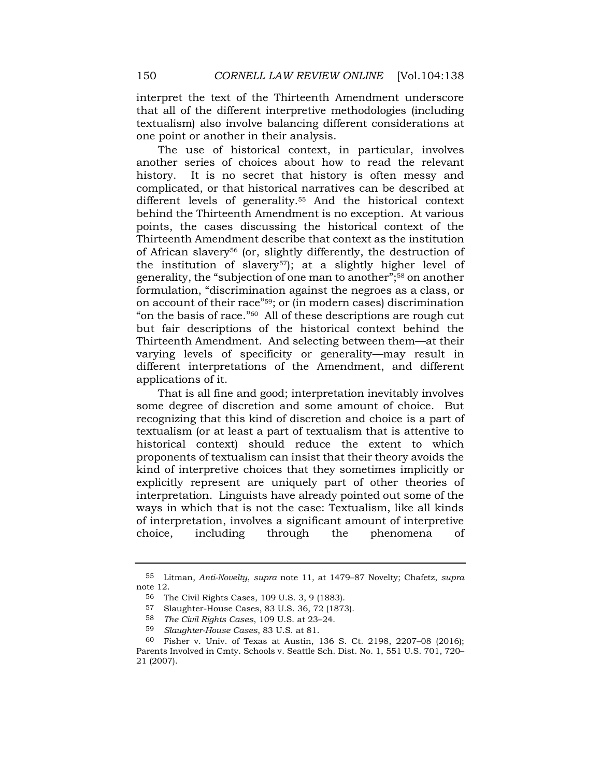interpret the text of the Thirteenth Amendment underscore that all of the different interpretive methodologies (including textualism) also involve balancing different considerations at one point or another in their analysis.

The use of historical context, in particular, involves another series of choices about how to read the relevant history. It is no secret that history is often messy and complicated, or that historical narratives can be described at different levels of generality.<sup>55</sup> And the historical context behind the Thirteenth Amendment is no exception. At various points, the cases discussing the historical context of the Thirteenth Amendment describe that context as the institution of African slavery56 (or, slightly differently, the destruction of the institution of slavery<sup>57</sup>); at a slightly higher level of generality, the "subjection of one man to another";58 on another formulation, "discrimination against the negroes as a class, or on account of their race"59; or (in modern cases) discrimination "on the basis of race."60 All of these descriptions are rough cut but fair descriptions of the historical context behind the Thirteenth Amendment. And selecting between them—at their varying levels of specificity or generality—may result in different interpretations of the Amendment, and different applications of it.

That is all fine and good; interpretation inevitably involves some degree of discretion and some amount of choice. But recognizing that this kind of discretion and choice is a part of textualism (or at least a part of textualism that is attentive to historical context) should reduce the extent to which proponents of textualism can insist that their theory avoids the kind of interpretive choices that they sometimes implicitly or explicitly represent are uniquely part of other theories of interpretation. Linguists have already pointed out some of the ways in which that is not the case: Textualism, like all kinds of interpretation, involves a significant amount of interpretive choice, including through the phenomena of

<sup>55</sup> Litman, *Anti-Novelty*, *supra* note 11, at 1479–87 Novelty; Chafetz, *supra*  note 12.

<sup>56</sup> The Civil Rights Cases, 109 U.S. 3, 9 (1883).

<sup>57</sup> Slaughter-House Cases, 83 U.S. 36, 72 (1873).

<sup>58</sup> *The Civil Rights Cases*, 109 U.S. at 23–24.

<sup>59</sup> *Slaughter-House Cases*, 83 U.S. at 81.

<sup>60</sup> Fisher v. Univ. of Texas at Austin, 136 S. Ct. 2198, 2207–08 (2016); Parents Involved in Cmty. Schools v. Seattle Sch. Dist. No. 1, 551 U.S. 701, 720– 21 (2007).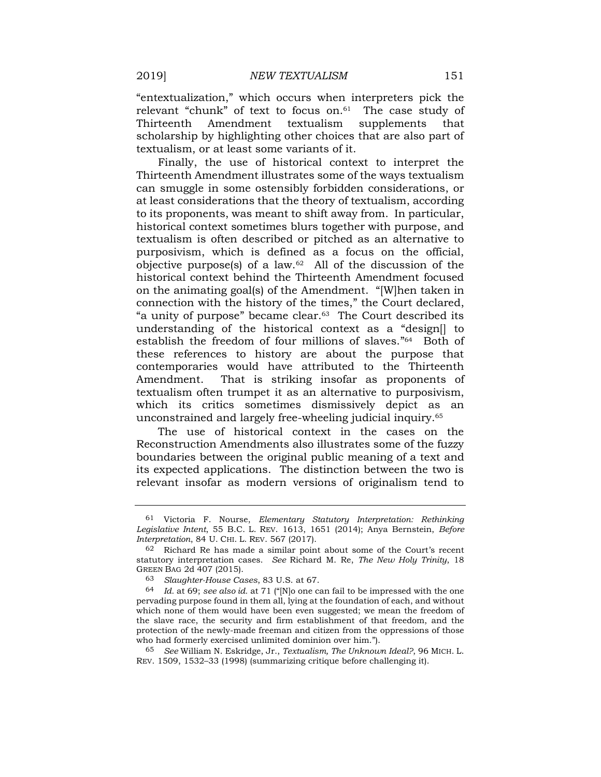"entextualization," which occurs when interpreters pick the relevant "chunk" of text to focus on.<sup>61</sup> The case study of Thirteenth Amendment textualism supplements that scholarship by highlighting other choices that are also part of textualism, or at least some variants of it.

Finally, the use of historical context to interpret the Thirteenth Amendment illustrates some of the ways textualism can smuggle in some ostensibly forbidden considerations, or at least considerations that the theory of textualism, according to its proponents, was meant to shift away from. In particular, historical context sometimes blurs together with purpose, and textualism is often described or pitched as an alternative to purposivism, which is defined as a focus on the official, objective purpose(s) of a law.<sup>62</sup> All of the discussion of the historical context behind the Thirteenth Amendment focused on the animating goal(s) of the Amendment. "[W]hen taken in connection with the history of the times," the Court declared, "a unity of purpose" became [clear.63](https://clear.63) The Court described its understanding of the historical context as a "design[] to establish the freedom of four millions of slaves."64 Both of these references to history are about the purpose that contemporaries would have attributed to the Thirteenth Amendment. That is striking insofar as proponents of textualism often trumpet it as an alternative to purposivism, which its critics sometimes dismissively depict as an unconstrained and largely free-wheeling judicial [inquiry.65](https://inquiry.65)

The use of historical context in the cases on the Reconstruction Amendments also illustrates some of the fuzzy boundaries between the original public meaning of a text and its expected applications. The distinction between the two is relevant insofar as modern versions of originalism tend to

<sup>61</sup> Victoria F. Nourse, *Elementary Statutory Interpretation: Rethinking Legislative Intent*, 55 B.C. L. REV. 1613, 1651 (2014); Anya Bernstein, *Before Interpretation*, 84 U. CHI. L. REV. 567 (2017).

<sup>62</sup> Richard Re has made a similar point about some of the Court's recent statutory interpretation cases. *See* Richard M. Re, *The New Holy Trinity*, 18 GREEN BAG 2d 407 (2015).

<sup>63</sup> *Slaughter-House Cases*, 83 U.S. at 67.

<sup>64</sup> *Id.* at 69; *see also id.* at 71 ("[N]o one can fail to be impressed with the one pervading purpose found in them all, lying at the foundation of each, and without which none of them would have been even suggested; we mean the freedom of the slave race, the security and firm establishment of that freedom, and the protection of the newly-made freeman and citizen from the oppressions of those who had formerly exercised unlimited dominion over him.").

<sup>65</sup> *See* William N. Eskridge, Jr., *Textualism, The Unknown Ideal?*, 96 MICH. L. REV. 1509, 1532–33 (1998) (summarizing critique before challenging it).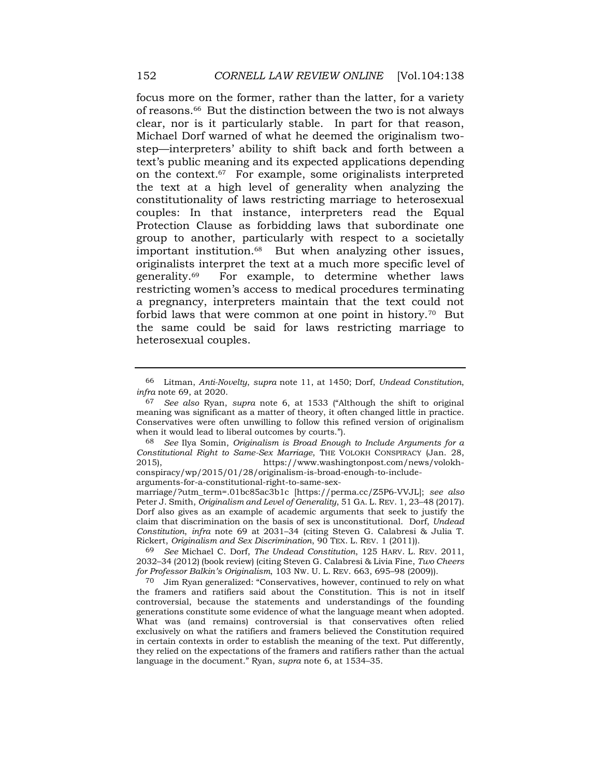focus more on the former, rather than the latter, for a variety of [reasons.66](https://reasons.66) But the distinction between the two is not always clear, nor is it particularly stable. In part for that reason, Michael Dorf warned of what he deemed the originalism twostep—interpreters' ability to shift back and forth between a text's public meaning and its expected applications depending on the [context.67](https://context.67) For example, some originalists interpreted the text at a high level of generality when analyzing the constitutionality of laws restricting marriage to heterosexual couples: In that instance, interpreters read the Equal Protection Clause as forbidding laws that subordinate one group to another, particularly with respect to a societally important [institution.68](https://institution.68) But when analyzing other issues, originalists interpret the text at a much more specific level of [generality.69](https://generality.69) For example, to determine whether laws restricting women's access to medical procedures terminating a pregnancy, interpreters maintain that the text could not forbid laws that were common at one point in [history.70](https://history.70) But the same could be said for laws restricting marriage to heterosexual couples.

<sup>66</sup> Litman, *Anti-Novelty*, *supra* note 11, at 1450; Dorf, *Undead Constitution*, *infra* note 69, at 2020.

<sup>67</sup> *See also* Ryan, *supra* note 6, at 1533 ("Although the shift to original meaning was significant as a matter of theory, it often changed little in practice. Conservatives were often unwilling to follow this refined version of originalism when it would lead to liberal outcomes by courts.").

<sup>68</sup> *See* Ilya Somin, *Originalism is Broad Enough to Include Arguments for a Constitutional Right to Same-Sex Marriage*, THE VOLOKH CONSPIRACY (Jan. 28, 2015), <https://www.washingtonpost.com/news/volokh>conspiracy/wp/2015/01/28/originalism-is-broad-enough-to-includearguments-for-a-constitutional-right-to-same-sex-

marriage/?utm\_term=.01bc85ac3b1c [\[https://perma.cc/Z5P6-VVJL](https://perma.cc/Z5P6-VVJL)]; *see also*  Peter J. Smith, *Originalism and Level of Generality*, 51 GA. L. REV. 1, 23–48 (2017). Dorf also gives as an example of academic arguments that seek to justify the claim that discrimination on the basis of sex is unconstitutional. Dorf, *Undead Constitution*, *infra* note 69 at 2031–34 (citing Steven G. Calabresi & Julia T. Rickert, *Originalism and Sex Discrimination*, 90 TEX. L. REV. 1 (2011)).

<sup>69</sup> *See* Michael C. Dorf, *The Undead Constitution*, 125 HARV. L. REV. 2011, 2032–34 (2012) (book review) (citing Steven G. Calabresi & Livia Fine, *Two Cheers for Professor Balkin's Originalism*, 103 NW. U. L. REV. 663, 695–98 (2009)).

 language in the document." Ryan, *supra* note 6, at 1534–35. 70 Jim Ryan generalized: "Conservatives, however, continued to rely on what the framers and ratifiers said about the Constitution. This is not in itself controversial, because the statements and understandings of the founding generations constitute some evidence of what the language meant when adopted. What was (and remains) controversial is that conservatives often relied exclusively on what the ratifiers and framers believed the Constitution required in certain contexts in order to establish the meaning of the text. Put differently, they relied on the expectations of the framers and ratifiers rather than the actual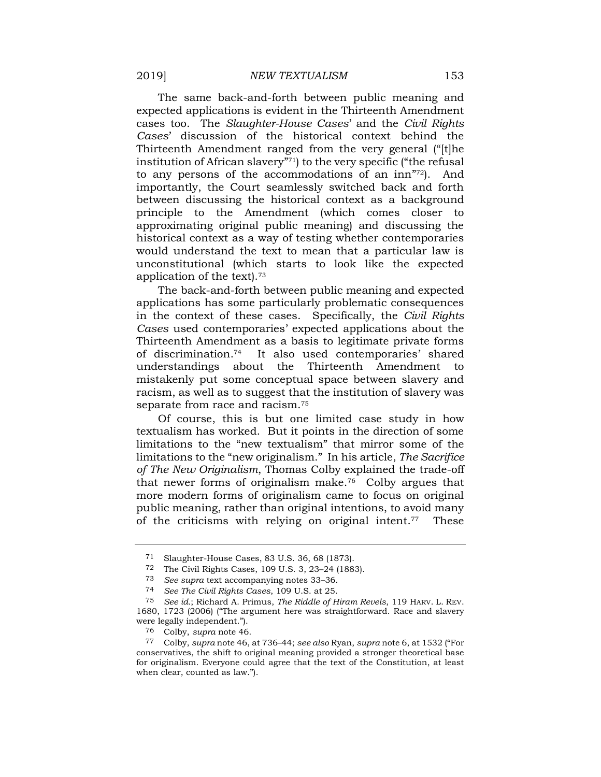The same back-and-forth between public meaning and expected applications is evident in the Thirteenth Amendment cases too. The *Slaughter-House Cases*' and the *Civil Rights Cases*' discussion of the historical context behind the Thirteenth Amendment ranged from the very general ("[t]he institution of African slavery"71) to the very specific ("the refusal to any persons of the accommodations of an inn"72). And importantly, the Court seamlessly switched back and forth between discussing the historical context as a background principle to the Amendment (which comes closer to approximating original public meaning) and discussing the historical context as a way of testing whether contemporaries would understand the text to mean that a particular law is unconstitutional (which starts to look like the expected application of the [text\).73](https://text).73)

The back-and-forth between public meaning and expected applications has some particularly problematic consequences in the context of these cases. Specifically, the *Civil Rights Cases* used contemporaries' expected applications about the Thirteenth Amendment as a basis to legitimate private forms of [discrimination.74](https://discrimination.74) It also used contemporaries' shared understandings about the Thirteenth Amendment to mistakenly put some conceptual space between slavery and racism, as well as to suggest that the institution of slavery was separate from race and [racism.75](https://racism.75) 

Of course, this is but one limited case study in how textualism has worked. But it points in the direction of some limitations to the "new textualism" that mirror some of the limitations to the "new originalism." In his article, *The Sacrifice of The New Originalism*, Thomas Colby explained the trade-off that newer forms of originalism make.76 Colby argues that more modern forms of originalism came to focus on original public meaning, rather than original intentions, to avoid many of the criticisms with relying on original intent.<sup>77</sup> These

<sup>71</sup> Slaughter-House Cases, 83 U.S. 36, 68 (1873).

<sup>72</sup> The Civil Rights Cases, 109 U.S. 3, 23–24 (1883).

<sup>73</sup> *See supra* text accompanying notes 33–36.

<sup>74</sup> *See The Civil Rights Cases*, 109 U.S. at 25.

<sup>75</sup> *See id.*; Richard A. Primus, *The Riddle of Hiram Revels*, 119 HARV. L. REV. 1680, 1723 (2006) ("The argument here was straightforward. Race and slavery were legally independent.").

<sup>76</sup> Colby, *supra* note 46.

<sup>77</sup> Colby, *supra* note 46, at 736–44; *see also* Ryan, *supra* note 6, at 1532 ("For conservatives, the shift to original meaning provided a stronger theoretical base for originalism. Everyone could agree that the text of the Constitution, at least when clear, counted as law.").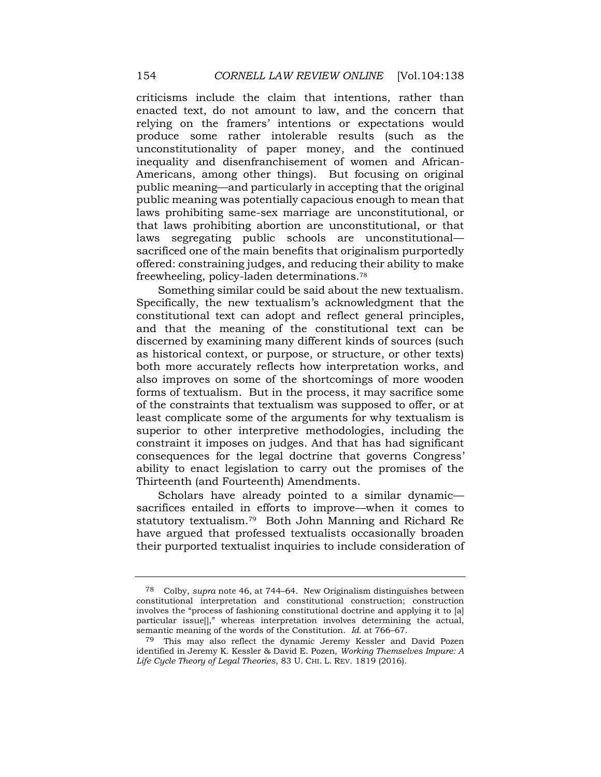criticisms include the claim that intentions, rather than enacted text, do not amount to law, and the concern that relying on the framers' intentions or expectations would produce some rather intolerable results (such as the unconstitutionality of paper money, and the continued inequality and disenfranchisement of women and African-Americans, among other things). But focusing on original public meaning—and particularly in accepting that the original public meaning was potentially capacious enough to mean that laws prohibiting same-sex marriage are unconstitutional, or that laws prohibiting abortion are unconstitutional, or that laws segregating public schools are unconstitutional sacrificed one of the main benefits that originalism purportedly offered: constraining judges, and reducing their ability to make freewheeling, policy-laden [determinations.78](https://determinations.78)

Something similar could be said about the new textualism. Specifically, the new textualism's acknowledgment that the constitutional text can adopt and reflect general principles, and that the meaning of the constitutional text can be discerned by examining many different kinds of sources (such as historical context, or purpose, or structure, or other texts) both more accurately reflects how interpretation works, and also improves on some of the shortcomings of more wooden forms of textualism. But in the process, it may sacrifice some of the constraints that textualism was supposed to offer, or at least complicate some of the arguments for why textualism is superior to other interpretive methodologies, including the constraint it imposes on judges. And that has had significant consequences for the legal doctrine that governs Congress' ability to enact legislation to carry out the promises of the Thirteenth (and Fourteenth) Amendments.

Scholars have already pointed to a similar dynamic sacrifices entailed in efforts to improve—when it comes to statutory [textualism.79](https://textualism.79) Both John Manning and Richard Re have argued that professed textualists occasionally broaden their purported textualist inquiries to include consideration of

<sup>78</sup> Colby, *supra* note 46, at 744–64. New Originalism distinguishes between constitutional interpretation and constitutional construction; construction involves the "process of fashioning constitutional doctrine and applying it to [a] particular issue[]," whereas interpretation involves determining the actual, semantic meaning of the words of the Constitution. *Id.* at 766–67.

<sup>79</sup> This may also reflect the dynamic Jeremy Kessler and David Pozen identified in Jeremy K. Kessler & David E. Pozen, *Working Themselves Impure: A Life Cycle Theory of Legal Theories*, 83 U. CHI. L. REV. 1819 (2016).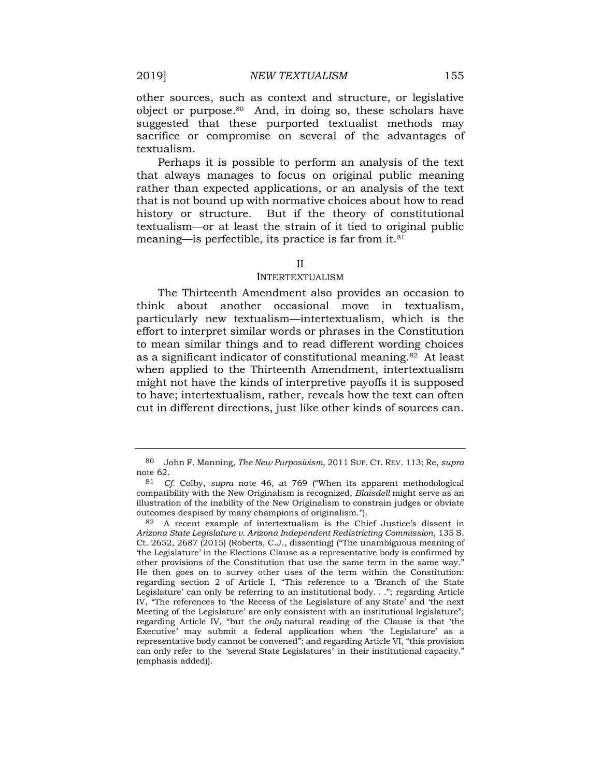other sources, such as context and structure, or legislative object or [purpose.80](https://purpose.80) And, in doing so, these scholars have suggested that these purported textualist methods may sacrifice or compromise on several of the advantages of textualism.

Perhaps it is possible to perform an analysis of the text that always manages to focus on original public meaning rather than expected applications, or an analysis of the text that is not bound up with normative choices about how to read history or structure. But if the theory of constitutional textualism—or at least the strain of it tied to original public meaning—is perfectible, its practice is far from it.81

#### II

#### INTERTEXTUALISM

The Thirteenth Amendment also provides an occasion to think about another occasional move in textualism, particularly new textualism—intertextualism, which is the effort to interpret similar words or phrases in the Constitution to mean similar things and to read different wording choices as a significant indicator of constitutional [meaning.82](https://meaning.82) At least when applied to the Thirteenth Amendment, intertextualism might not have the kinds of interpretive payoffs it is supposed to have; intertextualism, rather, reveals how the text can often cut in different directions, just like other kinds of sources can.

<sup>80</sup> John F. Manning, *The New Purposivism*, 2011 SUP. CT. REV. 113; Re, *supra*  note 62.

<sup>81</sup> *Cf.* Colby, *supra* note 46, at 769 ("When its apparent methodological compatibility with the New Originalism is recognized, *Blaisdell* might serve as an illustration of the inability of the New Originalism to constrain judges or obviate outcomes despised by many champions of originalism.").

<sup>82</sup> A recent example of intertextualism is the Chief Justice's dissent in *Arizona State Legislature v. Arizona Independent Redistricting Commission*, 135 S. Ct. 2652, 2687 (2015) (Roberts, C.J., dissenting) ("The unambiguous meaning of 'the Legislature' in the Elections Clause as a representative body is confirmed by other provisions of the Constitution that use the same term in the same way." He then goes on to survey other uses of the term within the Constitution: regarding section 2 of Article I, "This reference to a 'Branch of the State Legislature' can only be referring to an institutional body. . ."; regarding Article IV, "The references to 'the Recess of the Legislature of any State' and 'the next Meeting of the Legislature' are only consistent with an institutional legislature"; regarding Article IV, "but the *only* natural reading of the Clause is that 'the Executive' may submit a federal application when 'the Legislature' as a representative body cannot be convened"; and regarding Article VI, "this provision can only refer to the 'several State Legislatures' in their institutional capacity." (emphasis added)).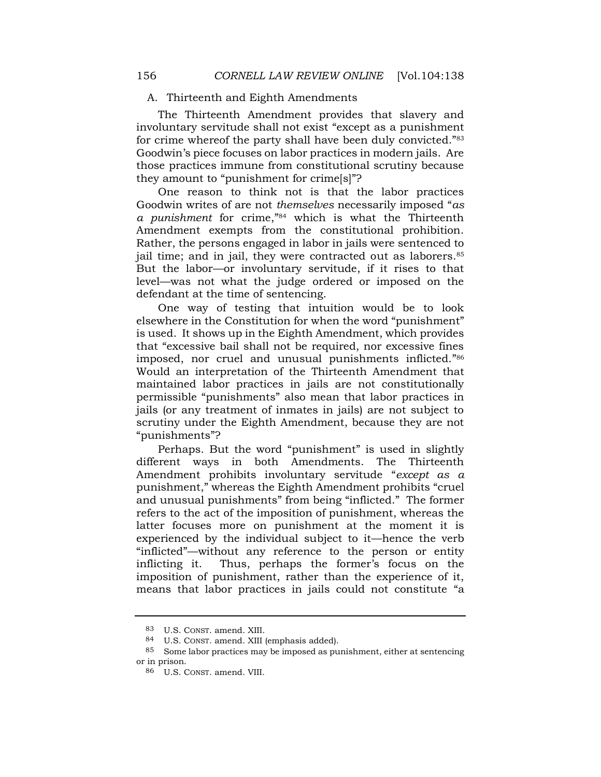### A. Thirteenth and Eighth Amendments

The Thirteenth Amendment provides that slavery and involuntary servitude shall not exist "except as a punishment for crime whereof the party shall have been duly convicted."<sup>83</sup> Goodwin's piece focuses on labor practices in modern jails. Are those practices immune from constitutional scrutiny because they amount to "punishment for crime[s]"?

One reason to think not is that the labor practices Goodwin writes of are not *themselves* necessarily imposed "*as a punishment* for crime,"84 which is what the Thirteenth Amendment exempts from the constitutional prohibition. Rather, the persons engaged in labor in jails were sentenced to jail time; and in jail, they were contracted out as laborers.<sup>85</sup> But the labor—or involuntary servitude, if it rises to that level—was not what the judge ordered or imposed on the defendant at the time of sentencing.

One way of testing that intuition would be to look elsewhere in the Constitution for when the word "punishment" is used. It shows up in the Eighth Amendment, which provides that "excessive bail shall not be required, nor excessive fines imposed, nor cruel and unusual punishments inflicted."<sup>86</sup> Would an interpretation of the Thirteenth Amendment that maintained labor practices in jails are not constitutionally permissible "punishments" also mean that labor practices in jails (or any treatment of inmates in jails) are not subject to scrutiny under the Eighth Amendment, because they are not "punishments"?

Perhaps. But the word "punishment" is used in slightly different ways in both Amendments. The Thirteenth Amendment prohibits involuntary servitude "*except as a*  punishment," whereas the Eighth Amendment prohibits "cruel and unusual punishments" from being "inflicted." The former refers to the act of the imposition of punishment, whereas the latter focuses more on punishment at the moment it is experienced by the individual subject to it—hence the verb "inflicted"—without any reference to the person or entity inflicting it. Thus, perhaps the former's focus on the imposition of punishment, rather than the experience of it, means that labor practices in jails could not constitute "a

<sup>83</sup> U.S. CONST. amend. XIII.

<sup>84</sup> U.S. CONST. amend. XIII (emphasis added).

 $^{85}$   $\,$  Some labor practices may be imposed as punishment, either at sentencing or in prison.

<sup>86</sup> U.S. CONST. amend. VIII.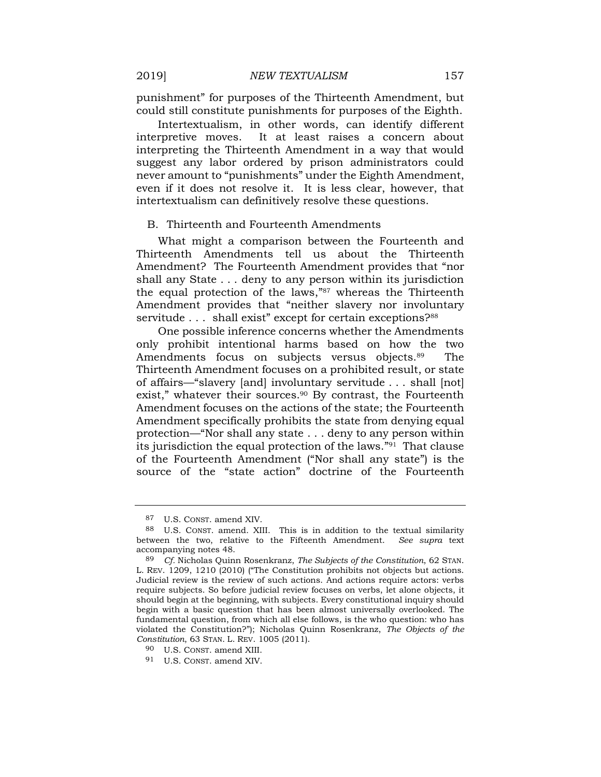punishment" for purposes of the Thirteenth Amendment, but could still constitute punishments for purposes of the Eighth.

Intertextualism, in other words, can identify different interpretive moves. It at least raises a concern about interpreting the Thirteenth Amendment in a way that would suggest any labor ordered by prison administrators could never amount to "punishments" under the Eighth Amendment, even if it does not resolve it. It is less clear, however, that intertextualism can definitively resolve these questions.

#### B. Thirteenth and Fourteenth Amendments

What might a comparison between the Fourteenth and Thirteenth Amendments tell us about the Thirteenth Amendment? The Fourteenth Amendment provides that "nor shall any State . . . deny to any person within its jurisdiction the equal protection of the laws,"87 whereas the Thirteenth Amendment provides that "neither slavery nor involuntary servitude . . . shall exist" except for certain exceptions?88

One possible inference concerns whether the Amendments only prohibit intentional harms based on how the two Amendments focus on subjects versus objects.<sup>89</sup> The Thirteenth Amendment focuses on a prohibited result, or state of affairs—"slavery [and] involuntary servitude . . . shall [not] exist," whatever their sources.<sup>90</sup> By contrast, the Fourteenth Amendment focuses on the actions of the state; the Fourteenth Amendment specifically prohibits the state from denying equal protection—"Nor shall any state . . . deny to any person within its jurisdiction the equal protection of the laws."91 That clause of the Fourteenth Amendment ("Nor shall any state") is the source of the "state action" doctrine of the Fourteenth

<sup>87</sup> U.S. CONST. amend XIV.

<sup>88</sup> U.S. CONST. amend. XIII. This is in addition to the textual similarity between the two, relative to the Fifteenth Amendment. *See supra* text accompanying notes 48.

<sup>89</sup> *Cf.* Nicholas Quinn Rosenkranz, *The Subjects of the Constitution*, 62 STAN. L. REV. 1209, 1210 (2010) ("The Constitution prohibits not objects but actions. Judicial review is the review of such actions. And actions require actors: verbs require subjects. So before judicial review focuses on verbs, let alone objects, it should begin at the beginning, with subjects. Every constitutional inquiry should begin with a basic question that has been almost universally overlooked. The fundamental question, from which all else follows, is the who question: who has violated the Constitution?"); Nicholas Quinn Rosenkranz, *The Objects of the Constitution*, 63 STAN. L. REV. 1005 (2011).

<sup>90</sup> U.S. CONST. amend XIII.

<sup>91</sup> U.S. CONST. amend XIV.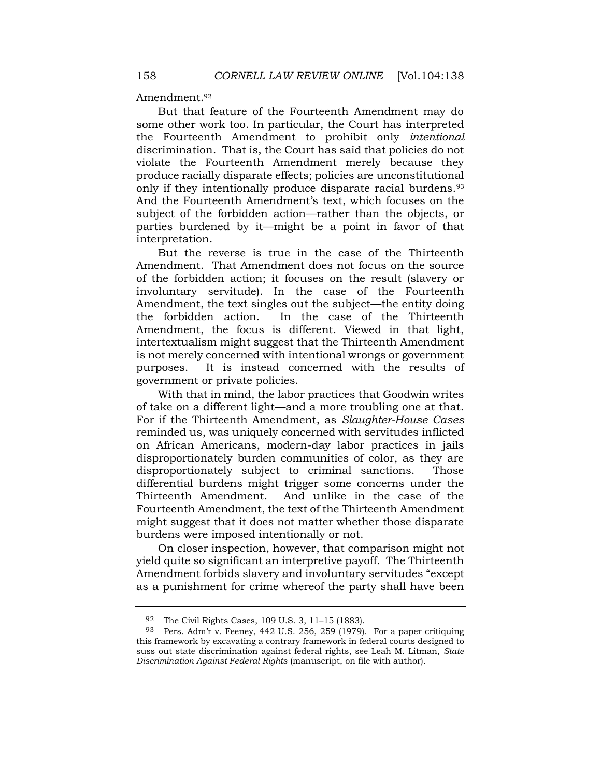Amendment.<sup>92</sup>

But that feature of the Fourteenth Amendment may do some other work too. In particular, the Court has interpreted the Fourteenth Amendment to prohibit only *intentional*  discrimination. That is, the Court has said that policies do not violate the Fourteenth Amendment merely because they produce racially disparate effects; policies are unconstitutional only if they intentionally produce disparate racial burdens.<sup>93</sup> And the Fourteenth Amendment's text, which focuses on the subject of the forbidden action—rather than the objects, or parties burdened by it—might be a point in favor of that interpretation.

But the reverse is true in the case of the Thirteenth Amendment. That Amendment does not focus on the source of the forbidden action; it focuses on the result (slavery or involuntary servitude). In the case of the Fourteenth Amendment, the text singles out the subject—the entity doing the forbidden action. In the case of the Thirteenth Amendment, the focus is different. Viewed in that light, intertextualism might suggest that the Thirteenth Amendment is not merely concerned with intentional wrongs or government purposes. It is instead concerned with the results of government or private policies.

With that in mind, the labor practices that Goodwin writes of take on a different light—and a more troubling one at that. For if the Thirteenth Amendment, as *Slaughter-House Cases*  reminded us, was uniquely concerned with servitudes inflicted on African Americans, modern-day labor practices in jails disproportionately burden communities of color, as they are disproportionately subject to criminal sanctions. Those differential burdens might trigger some concerns under the Thirteenth Amendment. And unlike in the case of the Fourteenth Amendment, the text of the Thirteenth Amendment might suggest that it does not matter whether those disparate burdens were imposed intentionally or not.

On closer inspection, however, that comparison might not yield quite so significant an interpretive payoff. The Thirteenth Amendment forbids slavery and involuntary servitudes "except as a punishment for crime whereof the party shall have been

<sup>92</sup> The Civil Rights Cases, 109 U.S. 3, 11–15 (1883).

<sup>93</sup> Pers. Adm'r v. Feeney, 442 U.S. 256, 259 (1979). For a paper critiquing this framework by excavating a contrary framework in federal courts designed to suss out state discrimination against federal rights, see Leah M. Litman, *State Discrimination Against Federal Rights* (manuscript, on file with author).